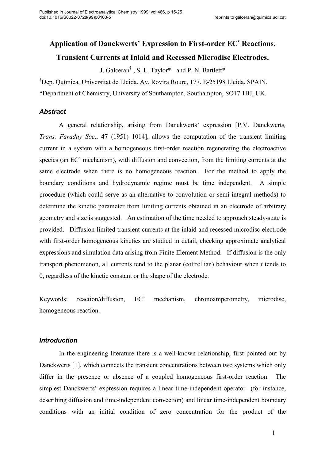# Application of Danckwerts' Expression to First-order EC′ Reactions. Transient Currents at Inlaid and Recessed Microdisc Electrodes.

J. Galceran<sup>†</sup>, S. L. Taylor\* and P. N. Bartlett\*

†Dep. Química, Universitat de Lleida. Av. Rovira Roure, 177. E-25198 Lleida, SPAIN. \*Department of Chemistry, University of Southampton, Southampton, SO17 1BJ, UK.

# **Abstract**

 A general relationship, arising from Danckwerts' expression [P.V. Danckwerts, Trans. Faraday Soc., 47 (1951) 1014], allows the computation of the transient limiting current in a system with a homogeneous first-order reaction regenerating the electroactive species (an EC' mechanism), with diffusion and convection, from the limiting currents at the same electrode when there is no homogeneous reaction. For the method to apply the boundary conditions and hydrodynamic regime must be time independent. A simple procedure (which could serve as an alternative to convolution or semi-integral methods) to determine the kinetic parameter from limiting currents obtained in an electrode of arbitrary geometry and size is suggested. An estimation of the time needed to approach steady-state is provided. Diffusion-limited transient currents at the inlaid and recessed microdisc electrode with first-order homogeneous kinetics are studied in detail, checking approximate analytical expressions and simulation data arising from Finite Element Method. If diffusion is the only transport phenomenon, all currents tend to the planar (cottrellian) behaviour when  $t$  tends to 0, regardless of the kinetic constant or the shape of the electrode.

Keywords: reaction/diffusion, EC' mechanism, chronoamperometry, microdisc, homogeneous reaction.

# **Introduction**

 In the engineering literature there is a well-known relationship, first pointed out by Danckwerts [1], which connects the transient concentrations between two systems which only differ in the presence or absence of a coupled homogeneous first-order reaction. The simplest Danckwerts' expression requires a linear time-independent operator (for instance, describing diffusion and time-independent convection) and linear time-independent boundary conditions with an initial condition of zero concentration for the product of the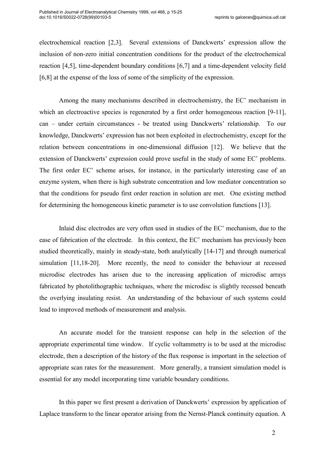electrochemical reaction [2,3]. Several extensions of Danckwerts' expression allow the inclusion of non-zero initial concentration conditions for the product of the electrochemical reaction [4,5], time-dependent boundary conditions [6,7] and a time-dependent velocity field [6,8] at the expense of the loss of some of the simplicity of the expression.

 Among the many mechanisms described in electrochemistry, the EC' mechanism in which an electroactive species is regenerated by a first order homogeneous reaction [9-11], can – under certain circumstances - be treated using Danckwerts' relationship. To our knowledge, Danckwerts' expression has not been exploited in electrochemistry, except for the relation between concentrations in one-dimensional diffusion [12]. We believe that the extension of Danckwerts' expression could prove useful in the study of some EC' problems. The first order EC' scheme arises, for instance, in the particularly interesting case of an enzyme system, when there is high substrate concentration and low mediator concentration so that the conditions for pseudo first order reaction in solution are met. One existing method for determining the homogeneous kinetic parameter is to use convolution functions [13].

Inlaid disc electrodes are very often used in studies of the EC' mechanism, due to the ease of fabrication of the electrode. In this context, the EC' mechanism has previously been studied theoretically, mainly in steady-state, both analytically [14-17] and through numerical simulation [11,18-20]. More recently, the need to consider the behaviour at recessed microdisc electrodes has arisen due to the increasing application of microdisc arrays fabricated by photolithographic techniques, where the microdisc is slightly recessed beneath the overlying insulating resist. An understanding of the behaviour of such systems could lead to improved methods of measurement and analysis.

 An accurate model for the transient response can help in the selection of the appropriate experimental time window. If cyclic voltammetry is to be used at the microdisc electrode, then a description of the history of the flux response is important in the selection of appropriate scan rates for the measurement. More generally, a transient simulation model is essential for any model incorporating time variable boundary conditions.

 In this paper we first present a derivation of Danckwerts' expression by application of Laplace transform to the linear operator arising from the Nernst-Planck continuity equation. A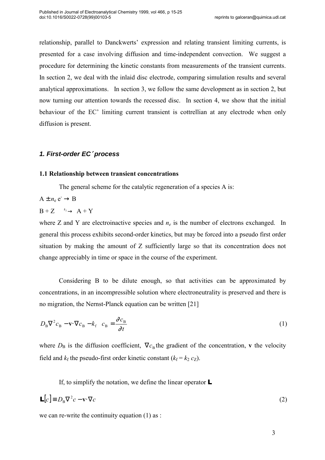relationship, parallel to Danckwerts' expression and relating transient limiting currents, is presented for a case involving diffusion and time-independent convection. We suggest a procedure for determining the kinetic constants from measurements of the transient currents. In section 2, we deal with the inlaid disc electrode, comparing simulation results and several analytical approximations. In section 3, we follow the same development as in section 2, but now turning our attention towards the recessed disc. In section 4, we show that the initial behaviour of the EC' limiting current transient is cottrellian at any electrode when only diffusion is present.

# **1. First-order EC**′ **process**

## 1.1 Relationship between transient concentrations

The general scheme for the catalytic regeneration of a species A is:

 $A \pm n_e e^- \rightarrow B$ 

# $B + Z \longrightarrow A + Y$

where Z and Y are electroinactive species and  $n_e$  is the number of electrons exchanged. In general this process exhibits second-order kinetics, but may be forced into a pseudo first order situation by making the amount of Z sufficiently large so that its concentration does not change appreciably in time or space in the course of the experiment.

 Considering B to be dilute enough, so that activities can be approximated by concentrations, in an incompressible solution where electroneutrality is preserved and there is no migration, the Nernst-Planck equation can be written [21]

$$
D_{\rm B}\nabla^2 c_{\rm B} - \mathbf{v} \cdot \nabla c_{\rm B} - k_{\rm f} \quad c_{\rm B} = \frac{\partial c_{\rm B}}{\partial t} \tag{1}
$$

where  $D_B$  is the diffusion coefficient,  $\nabla c_B$  the gradient of the concentration, v the velocity field and  $k_f$  the pseudo-first order kinetic constant ( $k_f = k_2 c_Z$ ).

If, to simplify the notation, we define the linear operator  $\blacksquare$ 

$$
\mathbf{L}[c] \equiv D_{\rm B} \nabla^2 c - \mathbf{v} \cdot \nabla c \tag{2}
$$

we can re-write the continuity equation (1) as :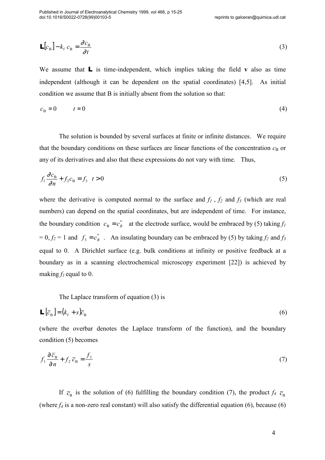$$
\mathbf{L}[c_{\mathrm{B}}] - k_{\mathrm{f}} \ c_{\mathrm{B}} = \frac{\partial c_{\mathrm{B}}}{\partial t} \tag{3}
$$

We assume that  $\mathbf{L}$  is time-independent, which implies taking the field v also as time independent (although it can be dependent on the spatial coordinates) [4,5]. As initial condition we assume that B is initially absent from the solution so that:

$$
c_{\rm B} = 0 \qquad t = 0 \tag{4}
$$

 The solution is bounded by several surfaces at finite or infinite distances. We require that the boundary conditions on these surfaces are linear functions of the concentration  $c_B$  or any of its derivatives and also that these expressions do not vary with time. Thus,

$$
f_1 \frac{\partial c_\text{B}}{\partial n} + f_2 c_\text{B} = f_3 \quad t > 0 \tag{5}
$$

where the derivative is computed normal to the surface and  $f_1$ ,  $f_2$  and  $f_3$  (which are real numbers) can depend on the spatial coordinates, but are independent of time. For instance, the boundary condition  $c_B = c_B^*$  at the electrode surface, would be embraced by (5) taking  $f_I$  $= 0, f_2 = 1$  and  $f_3 = c_B^*$ . An insulating boundary can be embraced by (5) by taking  $f_2$  and  $f_3$ equal to 0. A Dirichlet surface (e.g. bulk conditions at infinity or positive feedback at a boundary as in a scanning electrochemical microscopy experiment [22]) is achieved by making  $f_l$  equal to 0.

The Laplace transform of equation (3) is

$$
\mathbf{L}\left[\overline{c}_{\mathrm{B}}\right] = \left(k_{\mathrm{f}} + s\right)\overline{c}_{\mathrm{B}}
$$
\n<sup>(6)</sup>

(where the overbar denotes the Laplace transform of the function), and the boundary condition (5) becomes

$$
f_1 \frac{\partial \bar{c}_B}{\partial n} + f_2 \bar{c}_B = \frac{f_3}{s} \tag{7}
$$

If  $\overline{c}_{\text{B}}$  is the solution of (6) fulfilling the boundary condition (7), the product  $f_4$   $\overline{c}_{\text{B}}$ (where  $f_4$  is a non-zero real constant) will also satisfy the differential equation (6), because (6)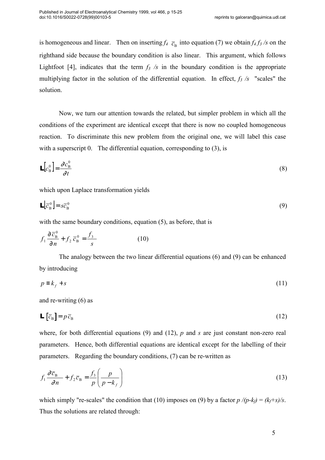is homogeneous and linear. Then on inserting  $f_4$   $\bar{c}_B$  into equation (7) we obtain  $f_4 f_3$  /s on the righthand side because the boundary condition is also linear. This argument, which follows Lightfoot [4], indicates that the term  $f_3$  /s in the boundary condition is the appropriate multiplying factor in the solution of the differential equation. In effect,  $f_3$  /s "scales" the solution.

 Now, we turn our attention towards the related, but simpler problem in which all the conditions of the experiment are identical except that there is now no coupled homogeneous reaction. To discriminate this new problem from the original one, we will label this case with a superscript 0. The differential equation, corresponding to (3), is

$$
\mathbf{L}\left[c_{\mathrm{B}}^{0}\right] = \frac{\partial c_{\mathrm{B}}^{0}}{\partial t} \tag{8}
$$

which upon Laplace transformation yields

$$
\mathbf{L} \left[ \overline{c}_{\mathbf{B}}^0 \right] = s \overline{c}_{\mathbf{B}}^0 \tag{9}
$$

with the same boundary conditions, equation (5), as before, that is

$$
f_1 \frac{\partial \bar{c}_B^0}{\partial n} + f_2 \bar{c}_B^0 = \frac{f_3}{s}
$$
 (10)

 The analogy between the two linear differential equations (6) and (9) can be enhanced by introducing

$$
p \equiv k_f + s \tag{11}
$$

and re-writing (6) as

$$
\mathbf{L}\left[\bar{c}_{\mathrm{B}}\right] = p\,\bar{c}_{\mathrm{B}}\tag{12}
$$

where, for both differential equations (9) and (12),  $p$  and  $s$  are just constant non-zero real parameters. Hence, both differential equations are identical except for the labelling of their parameters. Regarding the boundary conditions, (7) can be re-written as

$$
f_1 \frac{\partial \overline{c}_{\text{B}}}{\partial n} + f_2 \overline{c}_{\text{B}} = \frac{f_3}{p} \left( \frac{p}{p - k_f} \right) \tag{13}
$$

which simply "re-scales" the condition that (10) imposes on (9) by a factor  $p/(p-k_f) = (k_f+s)/s$ . Thus the solutions are related through: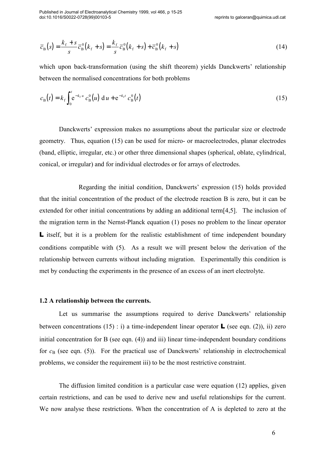$$
\overline{c}_{B}(s) = \frac{k_{f} + s}{s} \overline{c}_{B}^{0}(k_{f} + s) = \frac{k_{f}}{s} \overline{c}_{B}^{0}(k_{f} + s) + \overline{c}_{B}^{0}(k_{f} + s)
$$
\n(14)

which upon back-transformation (using the shift theorem) yields Danckwerts' relationship between the normalised concentrations for both problems

$$
c_{\rm B}(t) = k_{\rm f} \int_0^t e^{-k_{\rm f} u} c_{\rm B}^0(u) \, \mathrm{d}u + e^{-k_{\rm f} t} c_{\rm B}^0(t) \tag{15}
$$

 Danckwerts' expression makes no assumptions about the particular size or electrode geometry. Thus, equation (15) can be used for micro- or macroelectrodes, planar electrodes (band, elliptic, irregular, etc.) or other three dimensional shapes (spherical, oblate, cylindrical, conical, or irregular) and for individual electrodes or for arrays of electrodes.

 Regarding the initial condition, Danckwerts' expression (15) holds provided that the initial concentration of the product of the electrode reaction B is zero, but it can be extended for other initial concentrations by adding an additional term[4,5]. The inclusion of the migration term in the Nernst-Planck equation (1) poses no problem to the linear operator L itself, but it is a problem for the realistic establishment of time independent boundary conditions compatible with (5). As a result we will present below the derivation of the relationship between currents without including migration. Experimentally this condition is met by conducting the experiments in the presence of an excess of an inert electrolyte.

#### 1.2 A relationship between the currents.

 Let us summarise the assumptions required to derive Danckwerts' relationship between concentrations (15) : i) a time-independent linear operator  $\bf{L}$  (see eqn. (2)), ii) zero initial concentration for B (see eqn. (4)) and iii) linear time-independent boundary conditions for  $c_{\rm B}$  (see eqn. (5)). For the practical use of Danckwerts' relationship in electrochemical problems, we consider the requirement iii) to be the most restrictive constraint.

 The diffusion limited condition is a particular case were equation (12) applies, given certain restrictions, and can be used to derive new and useful relationships for the current. We now analyse these restrictions. When the concentration of A is depleted to zero at the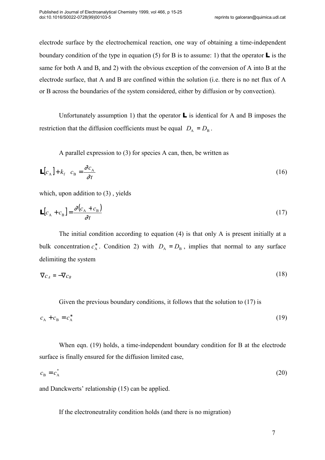electrode surface by the electrochemical reaction, one way of obtaining a time-independent boundary condition of the type in equation (5) for B is to assume: 1) that the operator  $\bf{L}$  is the same for both A and B, and 2) with the obvious exception of the conversion of A into B at the electrode surface, that A and B are confined within the solution (i.e. there is no net flux of A or B across the boundaries of the system considered, either by diffusion or by convection).

Unfortunately assumption 1) that the operator  $\bf{L}$  is identical for A and B imposes the restriction that the diffusion coefficients must be equal  $D_A = D_B$ .

A parallel expression to (3) for species A can, then, be written as

$$
\mathbf{L}[c_{\mathbf{A}}] + k_{\mathbf{f}} \quad c_{\mathbf{B}} = \frac{\partial c_{\mathbf{A}}}{\partial t} \tag{16}
$$

which, upon addition to  $(3)$ , yields

$$
\mathbf{L}[c_{A} + c_{B}] = \frac{\partial (c_{A} + c_{B})}{\partial t}
$$
 (17)

The initial condition according to equation (4) is that only A is present initially at a bulk concentration  $c_A^*$ . Condition 2) with  $D_A = D_B$ , implies that normal to any surface delimiting the system

$$
\nabla c_A = -\nabla c_B \tag{18}
$$

Given the previous boundary conditions, it follows that the solution to (17) is

$$
c_{A} + c_{B} = c_{A}^* \tag{19}
$$

When eqn. (19) holds, a time-independent boundary condition for B at the electrode surface is finally ensured for the diffusion limited case,

$$
c_{\rm B} = c_{\rm A}^* \tag{20}
$$

and Danckwerts' relationship (15) can be applied.

If the electroneutrality condition holds (and there is no migration)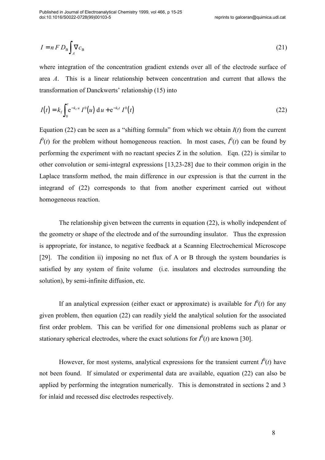$$
I = n F D_{\rm B} \int_A \nabla c_{\rm B} \tag{21}
$$

where integration of the concentration gradient extends over all of the electrode surface of area A. This is a linear relationship between concentration and current that allows the transformation of Danckwerts' relationship (15) into

$$
I(t) = k_f \int_0^t e^{-k_f u} I^0(u) du + e^{-k_f t} I^0(t)
$$
\n(22)

Equation (22) can be seen as a "shifting formula" from which we obtain  $I(t)$  from the current  $I^0(t)$  for the problem without homogeneous reaction. In most cases,  $I^0(t)$  can be found by performing the experiment with no reactant species  $Z$  in the solution. Eqn. (22) is similar to other convolution or semi-integral expressions [13,23-28] due to their common origin in the Laplace transform method, the main difference in our expression is that the current in the integrand of (22) corresponds to that from another experiment carried out without homogeneous reaction.

 The relationship given between the currents in equation (22), is wholly independent of the geometry or shape of the electrode and of the surrounding insulator. Thus the expression is appropriate, for instance, to negative feedback at a Scanning Electrochemical Microscope [29]. The condition ii) imposing no net flux of A or B through the system boundaries is satisfied by any system of finite volume (i.e. insulators and electrodes surrounding the solution), by semi-infinite diffusion, etc.

If an analytical expression (either exact or approximate) is available for  $I^0(t)$  for any given problem, then equation (22) can readily yield the analytical solution for the associated first order problem. This can be verified for one dimensional problems such as planar or stationary spherical electrodes, where the exact solutions for  $I^0(t)$  are known [30].

However, for most systems, analytical expressions for the transient current  $I^0(t)$  have not been found. If simulated or experimental data are available, equation (22) can also be applied by performing the integration numerically. This is demonstrated in sections 2 and 3 for inlaid and recessed disc electrodes respectively.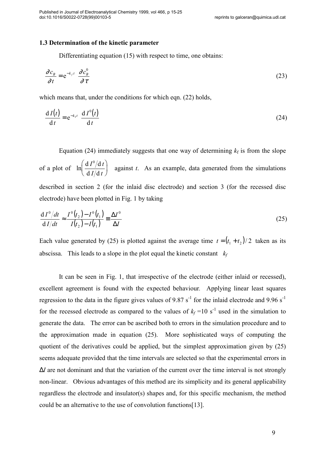## 1.3 Determination of the kinetic parameter

Differentiating equation (15) with respect to time, one obtains:

$$
\frac{\partial c_B}{\partial t} = e^{-k_f t} \frac{\partial c_B^0}{\partial \tau}
$$
 (23)

which means that, under the conditions for which eqn. (22) holds,

$$
\frac{dI(t)}{dt} = e^{-k_t t} \frac{dI^0(t)}{dt}
$$
 (24)

Equation (24) immediately suggests that one way of determining  $k_f$  is from the slope of a plot of  $\ln \left( \frac{d I^0/d}{d I^0} \right)$  $d$   $I/d$  a  $I^0/d t$  $I/\mathrm{d}\,t$  ,  $\int dI^0$ J  $\mathsf{I}$  $\backslash$ J | against  $t$ . As an example, data generated from the simulations described in section 2 (for the inlaid disc electrode) and section 3 (for the recessed disc electrode) have been plotted in Fig. 1 by taking

$$
\frac{dI^{0}/dt}{dI/dt} \approx \frac{I^{0}(t_{2}) - I^{0}(t_{1})}{I(t_{2}) - I(t_{1})} \equiv \frac{\Delta I^{0}}{\Delta I}
$$
\n(25)

Each value generated by (25) is plotted against the average time  $t = (t_1 + t_2)/2$  taken as its abscissa. This leads to a slope in the plot equal the kinetic constant  $k_f$ 

It can be seen in Fig. 1, that irrespective of the electrode (either inlaid or recessed), excellent agreement is found with the expected behaviour. Applying linear least squares regression to the data in the figure gives values of 9.87 s<sup>-1</sup> for the inlaid electrode and 9.96 s<sup>-1</sup> for the recessed electrode as compared to the values of  $k_f = 10 s^{-1}$  used in the simulation to generate the data. The error can be ascribed both to errors in the simulation procedure and to the approximation made in equation (25). More sophisticated ways of computing the quotient of the derivatives could be applied, but the simplest approximation given by (25) seems adequate provided that the time intervals are selected so that the experimental errors in  $\Delta I$  are not dominant and that the variation of the current over the time interval is not strongly non-linear. Obvious advantages of this method are its simplicity and its general applicability regardless the electrode and insulator(s) shapes and, for this specific mechanism, the method could be an alternative to the use of convolution functions[13].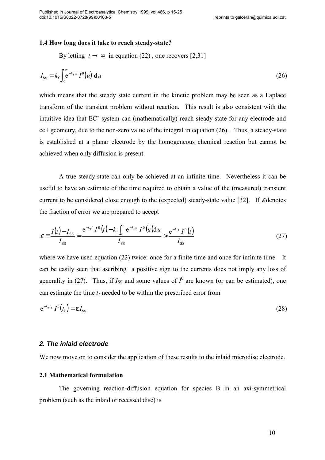#### 1.4 How long does it take to reach steady-state?

By letting  $t \rightarrow \infty$  in equation (22), one recovers [2,31]

$$
I_{\rm SS} = k_{\rm f} \int_0^{\infty} e^{-k_{\rm f} u} I^0(u) \, \mathrm{d}u \tag{26}
$$

which means that the steady state current in the kinetic problem may be seen as a Laplace transform of the transient problem without reaction. This result is also consistent with the intuitive idea that EC' system can (mathematically) reach steady state for any electrode and cell geometry, due to the non-zero value of the integral in equation (26). Thus, a steady-state is established at a planar electrode by the homogeneous chemical reaction but cannot be achieved when only diffusion is present.

A true steady-state can only be achieved at an infinite time. Nevertheless it can be useful to have an estimate of the time required to obtain a value of the (measured) transient current to be considered close enough to the (expected) steady-state value [32]. If  $\varepsilon$  denotes the fraction of error we are prepared to accept

$$
\varepsilon = \frac{I(t) - I_{SS}}{I_{SS}} = \frac{e^{-k_t t} I^0(t) - k_f \int_t^{\infty} e^{-k_t u} I^0(u) du}{I_{SS}} > \frac{e^{-k_t t} I^0(t)}{I_{SS}}
$$
(27)

where we have used equation (22) twice: once for a finite time and once for infinite time. It can be easily seen that ascribing a positive sign to the currents does not imply any loss of generality in (27). Thus, if  $I_{SS}$  and some values of  $I^0$  are known (or can be estimated), one can estimate the time  $t_{\epsilon}$  needed to be within the prescribed error from

$$
e^{-k_f t_{\varepsilon}} I^0(t_{\varepsilon}) = \varepsilon I_{SS}
$$
 (28)

## **2. The inlaid electrode**

We now move on to consider the application of these results to the inlaid microdisc electrode.

## 2.1 Mathematical formulation

The governing reaction-diffusion equation for species B in an axi-symmetrical problem (such as the inlaid or recessed disc) is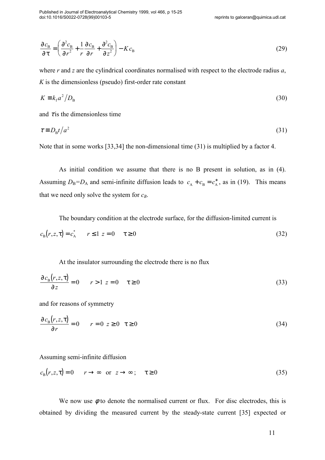Published in Journal of Electroanalytical Chemistry 1999, vol 466, p 15-25 doi:10.1016/S0022-0728(99)00103-5

$$
\frac{\partial c_{\rm B}}{\partial \tau} = \left( \frac{\partial^2 c_{\rm B}}{\partial r^2} + \frac{1}{r} \frac{\partial c_{\rm B}}{\partial r} + \frac{\partial^2 c_{\rm B}}{\partial z^2} \right) - K c_{\rm B}
$$
\n(29)

where r and z are the cylindrical coordinates normalised with respect to the electrode radius  $a$ ,  $K$  is the dimensionless (pseudo) first-order rate constant

$$
K \equiv k_{\rm f} a^2 / D_{\rm B} \tag{30}
$$

and  $\tau$  is the dimensionless time

$$
\tau \equiv D_{\rm B} t / a^2 \tag{31}
$$

Note that in some works [33,34] the non-dimensional time (31) is multiplied by a factor 4.

 As initial condition we assume that there is no B present in solution, as in (4). Assuming  $D_B = D_A$  and semi-infinite diffusion leads to  $c_A + c_B = c_A^*$ , as in (19). This means that we need only solve the system for  $c_B$ .

The boundary condition at the electrode surface, for the diffusion-limited current is

$$
c_{\rm B}(r, z, \tau) = c_{\rm A}^* \qquad r \le 1 \ z = 0 \qquad \tau \ge 0 \tag{32}
$$

At the insulator surrounding the electrode there is no flux

$$
\frac{\partial c_{\text{B}}(r,z,\tau)}{\partial z} = 0 \qquad r > 1 \ z = 0 \qquad \tau \ge 0 \tag{33}
$$

and for reasons of symmetry

$$
\frac{\partial c_{\rm B}(r, z, \tau)}{\partial r} = 0 \qquad r = 0 \ z \ge 0 \quad \tau \ge 0 \tag{34}
$$

Assuming semi-infinite diffusion

$$
c_{\mathcal{B}}(r, z, \tau) = 0 \qquad r \to \infty \quad \text{or} \quad z \to \infty \; ; \quad \tau \ge 0 \tag{35}
$$

We now use  $\phi$  to denote the normalised current or flux. For disc electrodes, this is obtained by dividing the measured current by the steady-state current [35] expected or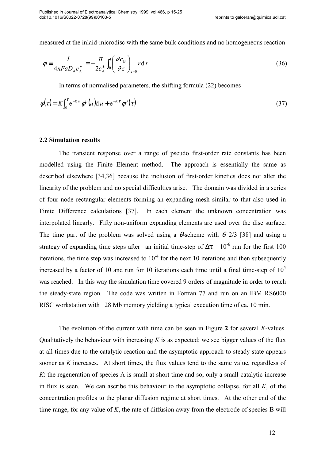measured at the inlaid-microdisc with the same bulk conditions and no homogeneous reaction

$$
\phi \equiv \frac{I}{4nFaD_{A}c_{A}^{*}} = -\frac{\pi}{2c_{A}^{*}} \int_{0}^{1} \left(\frac{\partial c_{B}}{\partial z}\right)_{z=0} r dr
$$
\n(36)

In terms of normalised parameters, the shifting formula (22) becomes

$$
\phi(\tau) = K \int_0^{\tau} e^{-Ku} \phi^0(u) du + e^{-K\tau} \phi^0(\tau)
$$
\n(37)

### 2.2 Simulation results

 The transient response over a range of pseudo first-order rate constants has been modelled using the Finite Element method. The approach is essentially the same as described elsewhere [34,36] because the inclusion of first-order kinetics does not alter the linearity of the problem and no special difficulties arise. The domain was divided in a series of four node rectangular elements forming an expanding mesh similar to that also used in Finite Difference calculations [37]. In each element the unknown concentration was interpolated linearly. Fifty non-uniform expanding elements are used over the disc surface. The time part of the problem was solved using a  $\theta$ -scheme with  $\theta$ =2/3 [38] and using a strategy of expanding time steps after an initial time-step of  $\Delta \tau = 10^{-6}$  run for the first 100 iterations, the time step was increased to  $10^{-4}$  for the next 10 iterations and then subsequently increased by a factor of 10 and run for 10 iterations each time until a final time-step of  $10<sup>5</sup>$ was reached. In this way the simulation time covered 9 orders of magnitude in order to reach the steady-state region. The code was written in Fortran 77 and run on an IBM RS6000 RISC workstation with 128 Mb memory yielding a typical execution time of ca. 10 min.

The evolution of the current with time can be seen in Figure 2 for several K-values. Qualitatively the behaviour with increasing K is as expected: we see bigger values of the flux at all times due to the catalytic reaction and the asymptotic approach to steady state appears sooner as K increases. At short times, the flux values tend to the same value, regardless of  $K$ : the regeneration of species A is small at short time and so, only a small catalytic increase in flux is seen. We can ascribe this behaviour to the asymptotic collapse, for all  $K$ , of the concentration profiles to the planar diffusion regime at short times. At the other end of the time range, for any value of  $K$ , the rate of diffusion away from the electrode of species B will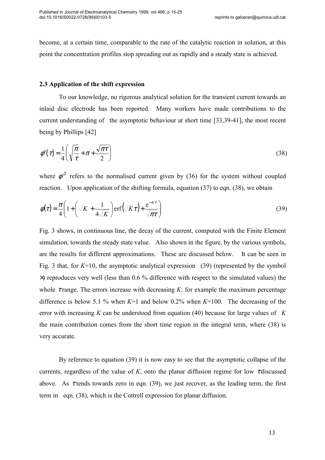become, at a certain time, comparable to the rate of the catalytic reaction in solution, at this point the concentration profiles stop spreading out as rapidly and a steady state is achieved.

## 2.3 Application of the shift expression

 To our knowledge, no rigorous analytical solution for the transient current towards an inlaid disc electrode has been reported. Many workers have made contributions to the current understanding of the asymptotic behaviour at short time [33,39-41], the most recent being by Phillips [42]

$$
\phi^0(\tau) = \frac{1}{4} \left( \sqrt{\frac{\pi}{\tau}} + \pi + \frac{\sqrt{\pi \tau}}{2} \right) \tag{38}
$$

where  $\phi^0$  refers to the normalised current given by (36) for the system without coupled reaction. Upon application of the shifting formula, equation (37) to eqn. (38), we obtain

$$
\phi(\tau) = \frac{\pi}{4} \left( 1 + \left( \sqrt{K} + \frac{1}{4\sqrt{K}} \right) \text{erf}\left(\sqrt{K\tau}\right) + \frac{e^{-K\tau}}{\sqrt{\pi\tau}} \right) \tag{39}
$$

Fig. 3 shows, in continuous line, the decay of the current, computed with the Finite Element simulation, towards the steady state value. Also shown in the figure, by the various symbols, are the results for different approximations. These are discussed below. It can be seen in Fig. 3 that, for  $K=10$ , the asymptotic analytical expression (39) (represented by the symbol  $\times$ ) reproduces very well (less than 0.6 % difference with respect to the simulated values) the whole  $\tau$  range. The errors increase with decreasing K; for example the maximum percentage difference is below 5.1 % when  $K=1$  and below 0.2% when  $K=100$ . The decreasing of the error with increasing K can be understood from equation (40) because for large values of  $K$ the main contribution comes from the short time region in the integral term, where (38) is very accurate.

 By reference to equation (39) it is now easy to see that the asymptotic collapse of the currents, regardless of the value of K, onto the planar diffusion regime for low  $\tau$  discussed above. As  $\tau$  tends towards zero in eqn. (39), we just recover, as the leading term, the first term in eqn. (38), which is the Cottrell expression for planar diffusion.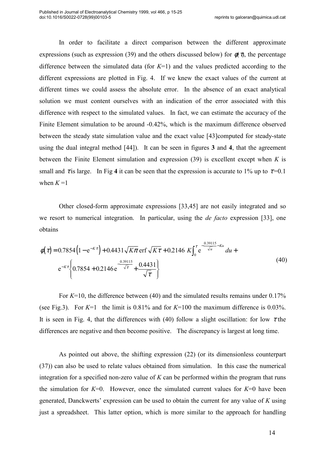In order to facilitate a direct comparison between the different approximate expressions (such as expression (39) and the others discussed below) for  $\phi(\tau)$ , the percentage difference between the simulated data (for  $K=1$ ) and the values predicted according to the different expressions are plotted in Fig. 4. If we knew the exact values of the current at different times we could assess the absolute error. In the absence of an exact analytical solution we must content ourselves with an indication of the error associated with this difference with respect to the simulated values. In fact, we can estimate the accuracy of the Finite Element simulation to be around -0.42%, which is the maximum difference observed between the steady state simulation value and the exact value [43]computed for steady-state using the dual integral method [44]). It can be seen in figures 3 and 4, that the agreement between the Finite Element simulation and expression  $(39)$  is excellent except when K is small and  $\tau$  is large. In Fig 4 it can be seen that the expression is accurate to 1% up to  $\tau$ =0.1 when  $K = 1$ 

 Other closed-form approximate expressions [33,45] are not easily integrated and so we resort to numerical integration. In particular, using the *de facto* expression [33], one obtains

$$
\phi(\tau) = 0.7854 \left( 1 - e^{-K\tau} \right) + 0.4431 \sqrt{K\pi} \operatorname{erf} \sqrt{K\tau} + 0.2146 \left. K \right|_{0}^{\tau} e^{-\frac{0.39115}{\sqrt{u}} - Ku} du + e^{-K\tau} \left\{ 0.7854 + 0.2146 e^{-\frac{0.39115}{\sqrt{\tau}}} + \frac{0.4431}{\sqrt{\tau}} \right\}
$$
\n(40)

For  $K=10$ , the difference between (40) and the simulated results remains under 0.17% (see Fig.3). For  $K=1$  the limit is 0.81% and for  $K=100$  the maximum difference is 0.03%. It is seen in Fig. 4, that the differences with (40) follow a slight oscillation: for low  $\tau$  the differences are negative and then become positive. The discrepancy is largest at long time.

 As pointed out above, the shifting expression (22) (or its dimensionless counterpart (37)) can also be used to relate values obtained from simulation. In this case the numerical integration for a specified non-zero value of  $K$  can be performed within the program that runs the simulation for  $K=0$ . However, once the simulated current values for  $K=0$  have been generated, Danckwerts' expression can be used to obtain the current for any value of  $K$  using just a spreadsheet. This latter option, which is more similar to the approach for handling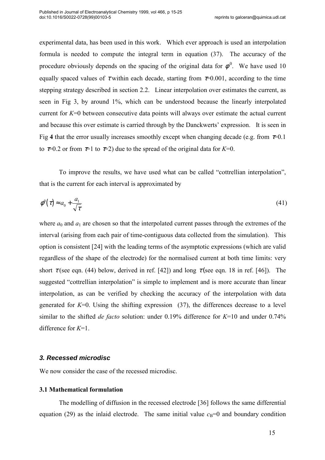experimental data, has been used in this work. Which ever approach is used an interpolation formula is needed to compute the integral term in equation (37). The accuracy of the procedure obviously depends on the spacing of the original data for  $\phi^0$ . We have used 10 equally spaced values of  $\tau$  within each decade, starting from  $\tau$ =0.001, according to the time stepping strategy described in section 2.2. Linear interpolation over estimates the current, as seen in Fig 3, by around 1%, which can be understood because the linearly interpolated current for K=0 between consecutive data points will always over estimate the actual current and because this over estimate is carried through by the Danckwerts' expression. It is seen in Fig 4 that the error usually increases smoothly except when changing decade (e.g. from  $\tau=0.1$ ) to  $\tau=0.2$  or from  $\tau=1$  to  $\tau=2$ ) due to the spread of the original data for  $K=0$ .

 To improve the results, we have used what can be called "cottrellian interpolation", that is the current for each interval is approximated by

$$
\phi^0(\tau) \approx a_0 + \frac{a_1}{\sqrt{\tau}}\tag{41}
$$

where  $a_0$  and  $a_1$  are chosen so that the interpolated current passes through the extremes of the interval (arising from each pair of time-contiguous data collected from the simulation). This option is consistent [24] with the leading terms of the asymptotic expressions (which are valid regardless of the shape of the electrode) for the normalised current at both time limits: very short  $\tau$  (see eqn. (44) below, derived in ref. [42]) and long  $\tau$  (see eqn. 18 in ref. [46]). The suggested "cottrellian interpolation" is simple to implement and is more accurate than linear interpolation, as can be verified by checking the accuracy of the interpolation with data generated for  $K=0$ . Using the shifting expression (37), the differences decrease to a level similar to the shifted *de facto* solution: under  $0.19\%$  difference for  $K=10$  and under  $0.74\%$ difference for  $K=1$ .

## **3. Recessed microdisc**

We now consider the case of the recessed microdisc.

## 3.1 Mathematical formulation

 The modelling of diffusion in the recessed electrode [36] follows the same differential equation (29) as the inlaid electrode. The same initial value  $c_B=0$  and boundary condition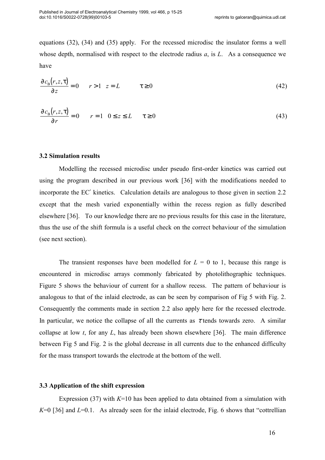equations (32), (34) and (35) apply. For the recessed microdisc the insulator forms a well whose depth, normalised with respect to the electrode radius  $a$ , is  $L$ . As a consequence we have

$$
\frac{\partial c_{\rm B}(r, z, \tau)}{\partial z} = 0 \qquad r > 1 \quad z = L \qquad \qquad \tau \ge 0 \tag{42}
$$

$$
\frac{\partial c_{\rm B}(r, z, \tau)}{\partial r} = 0 \qquad r = 1 \quad 0 \le z \le L \qquad \tau \ge 0 \tag{43}
$$

### 3.2 Simulation results

 Modelling the recessed microdisc under pseudo first-order kinetics was carried out using the program described in our previous work [36] with the modifications needed to incorporate the EC′ kinetics. Calculation details are analogous to those given in section 2.2 except that the mesh varied exponentially within the recess region as fully described elsewhere [36]. To our knowledge there are no previous results for this case in the literature, thus the use of the shift formula is a useful check on the correct behaviour of the simulation (see next section).

The transient responses have been modelled for  $L = 0$  to 1, because this range is encountered in microdisc arrays commonly fabricated by photolithographic techniques. Figure 5 shows the behaviour of current for a shallow recess. The pattern of behaviour is analogous to that of the inlaid electrode, as can be seen by comparison of Fig 5 with Fig. 2. Consequently the comments made in section 2.2 also apply here for the recessed electrode. In particular, we notice the collapse of all the currents as  $\tau$  tends towards zero. A similar collapse at low t, for any L, has already been shown elsewhere [36]. The main difference between Fig 5 and Fig. 2 is the global decrease in all currents due to the enhanced difficulty for the mass transport towards the electrode at the bottom of the well.

## 3.3 Application of the shift expression

Expression (37) with  $K=10$  has been applied to data obtained from a simulation with  $K=0$  [36] and  $L=0.1$ . As already seen for the inlaid electrode, Fig. 6 shows that "cottrellian"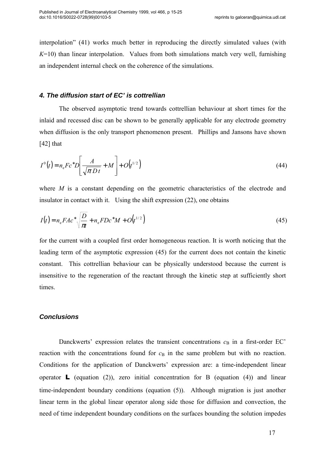interpolation" (41) works much better in reproducing the directly simulated values (with  $K=10$ ) than linear interpolation. Values from both simulations match very well, furnishing an independent internal check on the coherence of the simulations.

## **4. The diffusion start of EC' is cottrellian**

 The observed asymptotic trend towards cottrellian behaviour at short times for the inlaid and recessed disc can be shown to be generally applicable for any electrode geometry when diffusion is the only transport phenomenon present. Phillips and Jansons have shown [42] that

$$
I^{0}(t) = n_{e} F c^{*} D \left[ \frac{A}{\sqrt{\pi D t}} + M \right] + O(t^{1/2})
$$
\n(44)

where M is a constant depending on the geometric characteristics of the electrode and insulator in contact with it. Using the shift expression (22), one obtains

$$
I(t) = n_e F A c^* \sqrt{\frac{D}{\pi t}} + n_e F D c^* M + O(t^{1/2})
$$
\n(45)

for the current with a coupled first order homogeneous reaction. It is worth noticing that the leading term of the asymptotic expression (45) for the current does not contain the kinetic constant. This cottrellian behaviour can be physically understood because the current is insensitive to the regeneration of the reactant through the kinetic step at sufficiently short times.

# **Conclusions**

Danckwerts' expression relates the transient concentrations  $c_B$  in a first-order EC' reaction with the concentrations found for  $c_B$  in the same problem but with no reaction. Conditions for the application of Danckwerts' expression are: a time-independent linear operator **L** (equation (2)), zero initial concentration for B (equation (4)) and linear time-independent boundary conditions (equation (5)). Although migration is just another linear term in the global linear operator along side those for diffusion and convection, the need of time independent boundary conditions on the surfaces bounding the solution impedes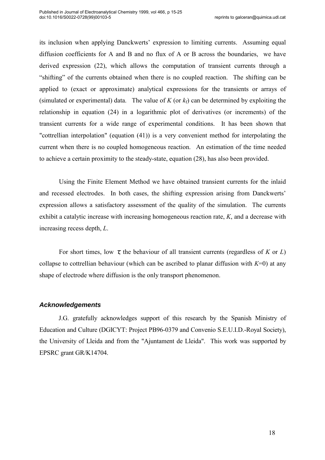its inclusion when applying Danckwerts' expression to limiting currents. Assuming equal diffusion coefficients for A and B and no flux of A or B across the boundaries, we have derived expression (22), which allows the computation of transient currents through a "shifting" of the currents obtained when there is no coupled reaction. The shifting can be applied to (exact or approximate) analytical expressions for the transients or arrays of (simulated or experimental) data. The value of K (or  $k_f$ ) can be determined by exploiting the relationship in equation (24) in a logarithmic plot of derivatives (or increments) of the transient currents for a wide range of experimental conditions. It has been shown that "cottrellian interpolation" (equation (41)) is a very convenient method for interpolating the current when there is no coupled homogeneous reaction. An estimation of the time needed to achieve a certain proximity to the steady-state, equation (28), has also been provided.

 Using the Finite Element Method we have obtained transient currents for the inlaid and recessed electrodes. In both cases, the shifting expression arising from Danckwerts' expression allows a satisfactory assessment of the quality of the simulation. The currents exhibit a catalytic increase with increasing homogeneous reaction rate, K, and a decrease with increasing recess depth, L.

For short times, low  $\tau$ , the behaviour of all transient currents (regardless of K or L) collapse to cottrellian behaviour (which can be ascribed to planar diffusion with  $K=0$ ) at any shape of electrode where diffusion is the only transport phenomenon.

## **Acknowledgements**

J.G. gratefully acknowledges support of this research by the Spanish Ministry of Education and Culture (DGICYT: Project PB96-0379 and Convenio S.E.U.I.D.-Royal Society), the University of Lleida and from the "Ajuntament de Lleida". This work was supported by EPSRC grant GR/K14704.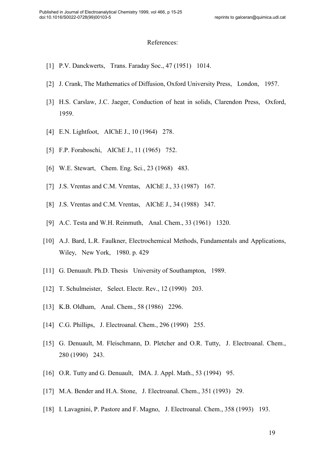#### References:

- [1] P.V. Danckwerts, Trans. Faraday Soc., 47 (1951) 1014.
- [2] J. Crank, The Mathematics of Diffusion, Oxford University Press, London, 1957.
- [3] H.S. Carslaw, J.C. Jaeger, Conduction of heat in solids, Clarendon Press, Oxford, 1959.
- [4] E.N. Lightfoot, AIChE J., 10 (1964) 278.
- [5] F.P. Foraboschi, AIChE J., 11 (1965) 752.
- [6] W.E. Stewart, Chem. Eng. Sci., 23 (1968) 483.
- [7] J.S. Vrentas and C.M. Vrentas, AIChE J., 33 (1987) 167.
- [8] J.S. Vrentas and C.M. Vrentas, AIChE J., 34 (1988) 347.
- [9] A.C. Testa and W.H. Reinmuth, Anal. Chem., 33 (1961) 1320.
- [10] A.J. Bard, L.R. Faulkner, Electrochemical Methods, Fundamentals and Applications, Wiley, New York, 1980. p. 429
- [11] G. Denuault. Ph.D. Thesis University of Southampton, 1989.
- [12] T. Schulmeister, Select. Electr. Rev., 12 (1990) 203.
- [13] K.B. Oldham, Anal. Chem., 58 (1986) 2296.
- [14] C.G. Phillips, J. Electroanal. Chem., 296 (1990) 255.
- [15] G. Denuault, M. Fleischmann, D. Pletcher and O.R. Tutty, J. Electroanal. Chem., 280 (1990) 243.
- [16] O.R. Tutty and G. Denuault, IMA. J. Appl. Math., 53 (1994) 95.
- [17] M.A. Bender and H.A. Stone, J. Electroanal. Chem., 351 (1993) 29.
- [18] I. Lavagnini, P. Pastore and F. Magno, J. Electroanal. Chem., 358 (1993) 193.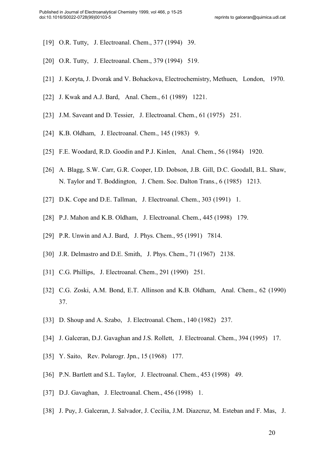- [19] O.R. Tutty, J. Electroanal. Chem., 377 (1994) 39.
- [20] O.R. Tutty, J. Electroanal. Chem., 379 (1994) 519.
- [21] J. Koryta, J. Dvorak and V. Bohackova, Electrochemistry, Methuen, London, 1970.
- [22] J. Kwak and A.J. Bard, Anal. Chem., 61 (1989) 1221.
- [23] J.M. Saveant and D. Tessier, J. Electroanal. Chem., 61 (1975) 251.
- [24] K.B. Oldham, J. Electroanal. Chem., 145 (1983) 9.
- [25] F.E. Woodard, R.D. Goodin and P.J. Kinlen, Anal. Chem., 56 (1984) 1920.
- [26] A. Blagg, S.W. Carr, G.R. Cooper, I.D. Dobson, J.B. Gill, D.C. Goodall, B.L. Shaw, N. Taylor and T. Boddington, J. Chem. Soc. Dalton Trans., 6 (1985) 1213.
- [27] D.K. Cope and D.E. Tallman, J. Electroanal. Chem., 303 (1991) 1.
- [28] P.J. Mahon and K.B. Oldham, J. Electroanal. Chem., 445 (1998) 179.
- [29] P.R. Unwin and A.J. Bard, J. Phys. Chem., 95 (1991) 7814.
- [30] J.R. Delmastro and D.E. Smith, J. Phys. Chem., 71 (1967) 2138.
- [31] C.G. Phillips, J. Electroanal. Chem., 291 (1990) 251.
- [32] C.G. Zoski, A.M. Bond, E.T. Allinson and K.B. Oldham, Anal. Chem., 62 (1990) 37.
- [33] D. Shoup and A. Szabo, J. Electroanal. Chem., 140 (1982) 237.
- [34] J. Galceran, D.J. Gavaghan and J.S. Rollett, J. Electroanal. Chem., 394 (1995) 17.
- [35] Y. Saito, Rev. Polarogr. Jpn., 15 (1968) 177.
- [36] P.N. Bartlett and S.L. Taylor, J. Electroanal. Chem., 453 (1998) 49.
- [37] D.J. Gavaghan, J. Electroanal. Chem., 456 (1998) 1.
- [38] J. Puy, J. Galceran, J. Salvador, J. Cecilia, J.M. Diazcruz, M. Esteban and F. Mas, J.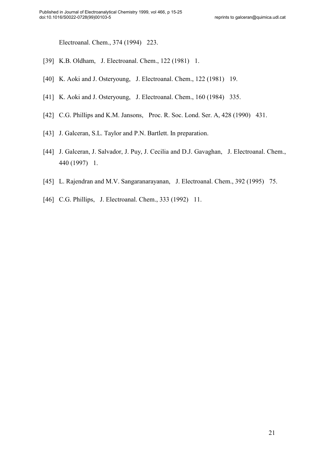Electroanal. Chem., 374 (1994) 223.

- [39] K.B. Oldham, J. Electroanal. Chem., 122 (1981) 1.
- [40] K. Aoki and J. Osteryoung, J. Electroanal. Chem., 122 (1981) 19.
- [41] K. Aoki and J. Osteryoung, J. Electroanal. Chem., 160 (1984) 335.
- [42] C.G. Phillips and K.M. Jansons, Proc. R. Soc. Lond. Ser. A, 428 (1990) 431.
- [43] J. Galceran, S.L. Taylor and P.N. Bartlett. In preparation.
- [44] J. Galceran, J. Salvador, J. Puy, J. Cecilia and D.J. Gavaghan, J. Electroanal. Chem., 440 (1997) 1.
- [45] L. Rajendran and M.V. Sangaranarayanan, J. Electroanal. Chem., 392 (1995) 75.
- [46] C.G. Phillips, J. Electroanal. Chem., 333 (1992) 11.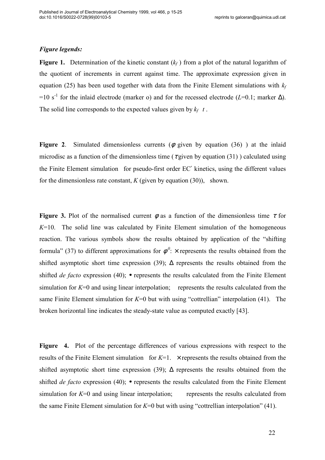## Figure legends:

**Figure 1.** Determination of the kinetic constant  $(k_f)$  from a plot of the natural logarithm of the quotient of increments in current against time. The approximate expression given in equation (25) has been used together with data from the Finite Element simulations with  $k_f$ =10 s<sup>-1</sup> for the inlaid electrode (marker o) and for the recessed electrode (L=0.1; marker  $\Delta$ ). The solid line corresponds to the expected values given by  $k_f$  t.

Figure 2. Simulated dimensionless currents ( $\phi$  given by equation (36)) at the inlaid microdisc as a function of the dimensionless time ( $\tau$  given by equation (31)) calculated using the Finite Element simulation for pseudo-first order EC′ kinetics, using the different values for the dimensionless rate constant,  $K$  (given by equation (30)), shown.

Figure 3. Plot of the normalised current  $\phi$  as a function of the dimensionless time  $\tau$  for  $K=10$ . The solid line was calculated by Finite Element simulation of the homogeneous reaction. The various symbols show the results obtained by application of the "shifting formula" (37) to different approximations for  $\phi^0$ :  $\times$  represents the results obtained from the shifted asymptotic short time expression (39);  $\Delta$  represents the results obtained from the shifted *de facto* expression (40);  $\bullet$  represents the results calculated from the Finite Element simulation for  $K=0$  and using linear interpolation; represents the results calculated from the same Finite Element simulation for  $K=0$  but with using "cottrellian" interpolation (41). The broken horizontal line indicates the steady-state value as computed exactly [43].

Figure 4. Plot of the percentage differences of various expressions with respect to the results of the Finite Element simulation for  $K=1$ .  $\times$  represents the results obtained from the shifted asymptotic short time expression (39);  $\Delta$  represents the results obtained from the shifted *de facto* expression (40);  $\bullet$  represents the results calculated from the Finite Element simulation for  $K=0$  and using linear interpolation; represents the results calculated from the same Finite Element simulation for  $K=0$  but with using "cottrellian interpolation" (41).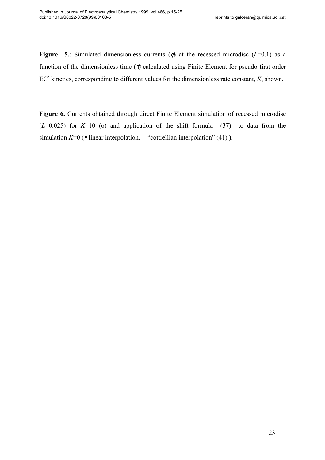Figure 5.: Simulated dimensionless currents ( $\phi$ ) at the recessed microdisc (L=0.1) as a function of the dimensionless time ( $\tau$ ) calculated using Finite Element for pseudo-first order EC' kinetics, corresponding to different values for the dimensionless rate constant, K, shown.

Figure 6. Currents obtained through direct Finite Element simulation of recessed microdisc  $(L=0.025)$  for  $K=10$  (o) and application of the shift formula (37) to data from the simulation  $K=0$  ( $\bullet$  linear interpolation, "cottrellian interpolation" (41)).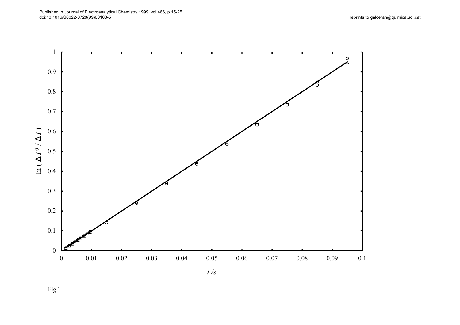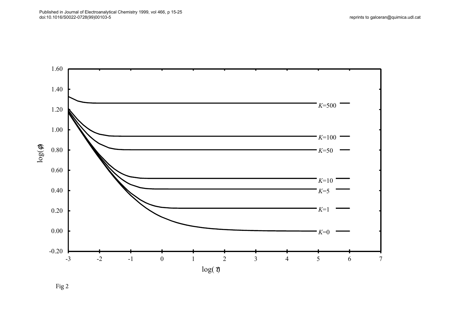

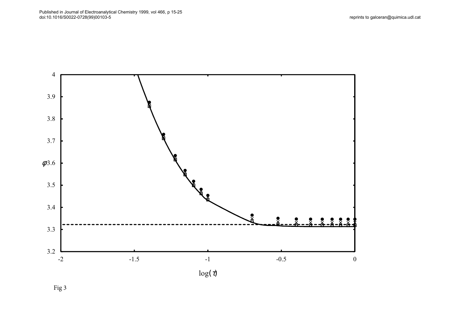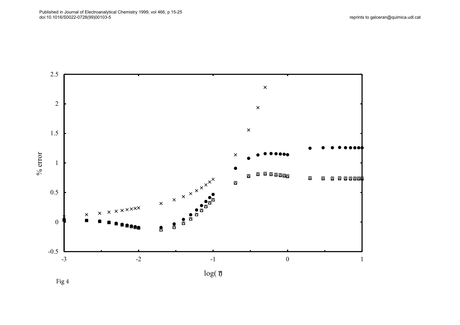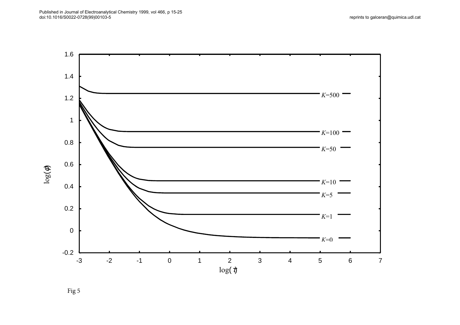reprints to galceran@quimica.udl.cat